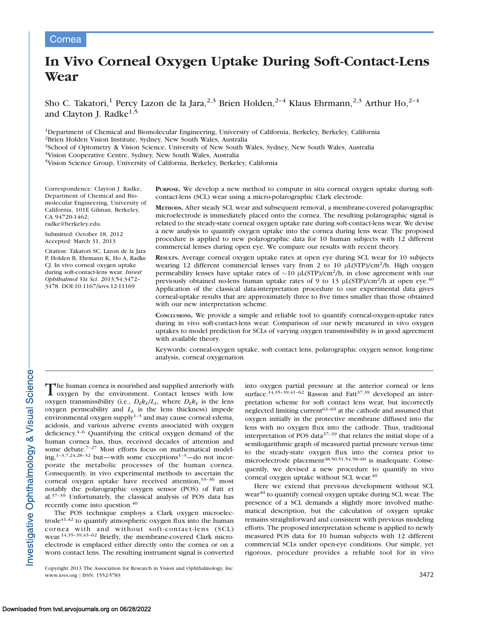# Cornea

# In Vivo Corneal Oxygen Uptake During Soft-Contact-Lens Wear

Sho C. Takatori,<sup>1</sup> Percy Lazon de la Jara,<sup>2,3</sup> Brien Holden,<sup>2-4</sup> Klaus Ehrmann,<sup>2,3</sup> Arthur Ho,<sup>2-4</sup> and Clayton J. Radke $^{1,5}$ 

1Department of Chemical and Biomolecular Engineering, University of California, Berkeley, Berkeley, California 2Brien Holden Vision Institute, Sydney, New South Wales, Australia

<sup>3</sup>School of Optometry & Vision Science, University of New South Wales, Sydney, New South Wales, Australia

4Vision Cooperative Centre, Sydney, New South Wales, Australia

5Vision Science Group, University of California, Berkeley, Berkeley, California

Correspondence: Clayton J. Radke, Department of Chemical and Biomolecular Engineering, University of California, 101E Gilman, Berkeley, CA 94720-1462; radke@berkeley.edu.

Submitted: October 18, 2012 Accepted: March 31, 2013

Citation: Takatori SC, Lazon de la Jara P, Holden B, Ehrmann K, Ho A, Radke CJ. In vivo corneal oxygen uptake during soft-contact-lens wear. Invest Ophthalmol Vis Sci. 2013;54:3472– 3478. DOI:10.1167/iovs.12-11169

PURPOSE. We develop a new method to compute in situ corneal oxygen uptake during softcontact-lens (SCL) wear using a micro-polarographic Clark electrode.

METHODS. After steady SCL wear and subsequent removal, a membrane-covered polarographic microelectrode is immediately placed onto the cornea. The resulting polarographic signal is related to the steady-state corneal oxygen uptake rate during soft-contact-lens wear. We devise a new analysis to quantify oxygen uptake into the cornea during lens wear. The proposed procedure is applied to new polarographic data for 10 human subjects with 12 different commercial lenses during open eye. We compare our results with recent theory.

RESULTS. Average corneal oxygen uptake rates at open eye during SCL wear for 10 subjects wearing 12 different commercial lenses vary from 2 to 10  $\mu$ L(STP)/cm<sup>2</sup>/h. High oxygen permeability lenses have uptake rates of  $\sim$ 10 µL(STP)/cm<sup>2</sup>/h, in close agreement with our previously obtained no-lens human uptake rates of 9 to 13  $\mu$ L(STP)/cm<sup>2</sup>/h at open eye.<sup>40</sup> Application of the classical data-interpretation procedure to our experimental data gives corneal-uptake results that are approximately three to five times smaller than those obtained with our new interpretation scheme.

CONCLUSIONS. We provide a simple and reliable tool to quantify corneal-oxygen-uptake rates during in vivo soft-contact-lens wear. Comparison of our newly measured in vivo oxygen uptakes to model prediction for SCLs of varying oxygen transmissibility is in good agreement with available theory.

Keywords: corneal-oxygen uptake, soft contact lens, polarographic oxygen sensor, long-time analysis, corneal oxygenation

The human cornea is nourished and supplied anteriorly with<br>oxygen by the environment Contact Jenses with Jow oxygen by the environment. Contact lenses with low oxygen transmissibility (i.e.,  $D_l k_l/L_l$ , where  $D_l k_l$  is the lens oxygen permeability and  $L<sub>L</sub>$  is the lens thickness) impede environmental oxygen supply $1-3$  and may cause corneal edema, acidosis, and various adverse events associated with oxygen deficiency.4–6 Quantifying the critical oxygen demand of the human cornea has, thus, received decades of attention and some debate.<sup>7-27</sup> Most efforts focus on mathematical model $ing, 1-3,7,24,28-32$  but—with some exceptions<sup>1-3</sup>—do not incorporate the metabolic processes of the human cornea. Consequently, in vivo experimental methods to ascertain the corneal oxygen uptake have received attention, $33-36$  most notably the polarographic oxygen sensor (POS) of Fatt et al.37–39 Unfortunately, the classical analysis of POS data has recently come into question.<sup>40</sup>

The POS technique employs a Clark oxygen microelectrode $41,42$  to quantify atmospheric oxygen flux into the human cornea with and without soft-contact-lens (SCL) wear.14,35–39,43–62 Briefly, the membrane-covered Clark microelectrode is emplaced either directly onto the cornea or on a worn contact lens. The resulting instrument signal is converted

Copyright 2013 The Association for Research in Vision and Ophthalmology, Inc. www.iovs.org | ISSN: 1552-5783 3472

into oxygen partial pressure at the anterior corneal or lens surface.<sup>14,35-39,41-62</sup> Rasson and Fatt<sup>37,39</sup> developed an interpretation scheme for soft contact lens wear, but incorrectly neglected limiting current<sup> $63-65$ </sup> at the cathode and assumed that oxygen initially in the protective membrane diffused into the lens with no oxygen flux into the cathode. Thus, traditional interpretation of POS data $37-39$  that relates the initial slope of a semilogarithmic graph of measured partial pressure versus time to the steady-state oxygen flux into the cornea prior to microelectrode placement<sup>38,50,51,54,58-60</sup> is inadequate. Consequently, we devised a new procedure to quantify in vivo corneal oxygen uptake without SCL wear.<sup>40</sup>

Here we extend that previous development without SCL wear<sup>40</sup> to quantify corneal oxygen uptake during SCL wear. The presence of a SCL demands a slightly more involved mathematical description, but the calculation of oxygen uptake remains straightforward and consistent with previous modeling efforts. The proposed interpretation scheme is applied to newly measured POS data for 10 human subjects with 12 different commercial SCLs under open-eye conditions. Our simple, yet rigorous, procedure provides a reliable tool for in vivo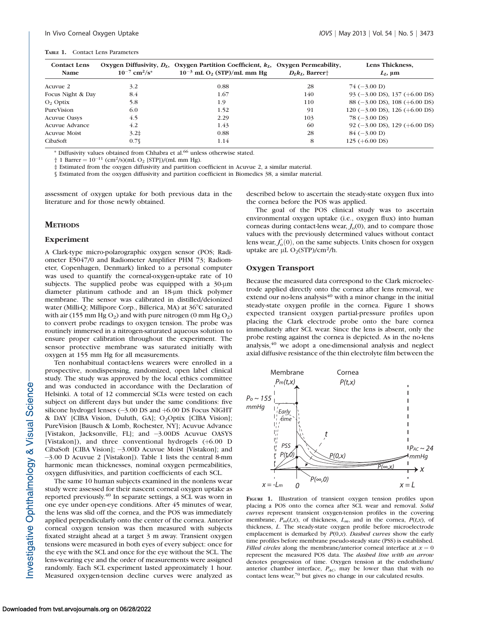#### TABLE 1. Contact Lens Parameters

| <b>Contact Lens</b><br>Name | $10^{-7}$ cm <sup>2</sup> /s <sup>*</sup> | Oxygen Diffusivity, $D1$ , Oxygen Partition Coefficient, $k1$ , Oxygen Permeability,<br>$10^{-3}$ mL O <sub>2</sub> (STP)/mL mm Hg | $D_{I}k_{I}$ , Barrer <sup>+</sup> | Lens Thickness,<br>$L_I$ , $\mu$ m                  |
|-----------------------------|-------------------------------------------|------------------------------------------------------------------------------------------------------------------------------------|------------------------------------|-----------------------------------------------------|
| Acuvue 2                    | 3.2                                       | 0.88                                                                                                                               | 28                                 | $74 (-3.00 D)$                                      |
| Focus Night & Day           | 8.4                                       | 1.67                                                                                                                               | 140                                | 93 $(-3.00 \text{ DS})$ , 137 $(+6.00 \text{ DS})$  |
| $O2$ Optix                  | 5.8                                       | 1.9                                                                                                                                | 110                                | 88 $(-3.00 \text{ DS})$ , 108 $(+6.00 \text{ DS})$  |
| PureVision                  | 6.0                                       | 1.52                                                                                                                               | 91                                 | $120 (-3.00 \text{ DS})$ , $126 (+6.00 \text{ DS})$ |
| <b>Acuvue Oasys</b>         | 4.5                                       | 2.29                                                                                                                               | 103                                | $78 (-3.00 \text{ DS})$                             |
| Acuvue Advance              | 4.2                                       | 1.43                                                                                                                               | 60                                 | 92 ( $-3.00$ DS), 129 ( $+6.00$ DS)                 |
| <b>Acuvue Moist</b>         | 3.2 <sup>‡</sup>                          | 0.88                                                                                                                               | 28                                 | $84 (-3.00 D)$                                      |
| CibaSoft                    | $0.7\$                                    | 1.14                                                                                                                               | 8                                  | $125 (+6.00 \text{ DS})$                            |

\* Diffusivity values obtained from Chhabra et al.<sup>66</sup> unless otherwise stated.

 $\dagger$  1 Barrer =  $10^{-11}$  (cm<sup>2</sup>/s)(mL O<sub>2</sub> [STP])/(mL mm Hg).

‡ Estimated from the oxygen diffusivity and partition coefficient in Acuvue 2, a similar material.

§ Estimated from the oxygen diffusivity and partition coefficient in Biomedics 38, a similar material.

assessment of oxygen uptake for both previous data in the literature and for those newly obtained.

## **METHODS**

## Experiment

A Clark-type micro-polarographic oxygen sensor (POS; Radiometer E5047/0 and Radiometer Amplifier PHM 73; Radiometer, Copenhagen, Denmark) linked to a personal computer was used to quantify the corneal-oxygen-uptake rate of 10 subjects. The supplied probe was equipped with a  $30\text{-}\mu\text{m}$ diameter platinum cathode and an 18-um thick polymer membrane. The sensor was calibrated in distilled/deionized water (Milli-O; Millipore Corp., Billerica, MA) at  $36^{\circ}$ C saturated with air (155 mm Hg  $O_2$ ) and with pure nitrogen (0 mm Hg  $O_2$ ) to convert probe readings to oxygen tension. The probe was routinely immersed in a nitrogen-saturated aqueous solution to ensure proper calibration throughout the experiment. The sensor protective membrane was saturated initially with oxygen at 155 mm Hg for all measurements.

Ten nonhabitual contact-lens wearers were enrolled in a prospective, nondispensing, randomized, open label clinical study. The study was approved by the local ethics committee and was conducted in accordance with the Declaration of Helsinki. A total of 12 commercial SCLs were tested on each subject on different days but under the same conditions: five silicone hydrogel lenses  $(-3.00 \text{ DS and } +6.00 \text{ DS}$  Focus NIGHT & DAY [CIBA Vision, Duluth, GA]; O2Optix [CIBA Vision]; PureVision [Bausch & Lomb, Rochester, NY]; Acuvue Advance [Vistakon, Jacksonville, FL]; and -3.00DS Acuvue OASYS [Vistakon]), and three conventional hydrogels (+6.00 D CibaSoft [CIBA Vision]; -3.00D Acuvue Moist [Vistakon]; and -3.00 D Acuvue 2 [Vistakon]). Table 1 lists the central 8-mm harmonic mean thicknesses, nominal oxygen permeabilities, oxygen diffusivities, and partition coefficients of each SCL.

The same 10 human subjects examined in the nonlens wear study were assessed for their nascent corneal oxygen uptake as reported previously.40 In separate settings, a SCL was worn in one eye under open-eye conditions. After 45 minutes of wear, the lens was slid off the cornea, and the POS was immediately applied perpendicularly onto the center of the cornea. Anterior corneal oxygen tension was then measured with subjects fixated straight ahead at a target 3 m away. Transient oxygen tensions were measured in both eyes of every subject: once for the eye with the SCL and once for the eye without the SCL. The lens-wearing eye and the order of measurements were assigned randomly. Each SCL experiment lasted approximately 1 hour. Measured oxygen-tension decline curves were analyzed as

described below to ascertain the steady-state oxygen flux into the cornea before the POS was applied.

The goal of the POS clinical study was to ascertain environmental oxygen uptake (i.e., oxygen flux) into human corneas during contact-lens wear,  $J<sub>o</sub>(0)$ , and to compare those values with the previously determined values without contact lens wear,  $J_o^*(0)$ , on the same subjects. Units chosen for oxygen uptake are  $\mu$ L O<sub>2</sub>(STP)/cm<sup>2</sup>/h.

#### Oxygen Transport

Because the measured data correspond to the Clark microelectrode applied directly onto the cornea after lens removal, we extend our no-lens analysis $40$  with a minor change in the initial steady-state oxygen profile in the cornea. Figure 1 shows expected transient oxygen partial-pressure profiles upon placing the Clark electrode probe onto the bare cornea immediately after SCL wear. Since the lens is absent, only the probe resting against the cornea is depicted. As in the no-lens analysis,<sup>40</sup> we adopt a one-dimensional analysis and neglect axial diffusive resistance of the thin electrolyte film between the



placing a POS onto the cornea after SCL wear and removal. Solid curves represent transient oxygen-tension profiles in the covering membrane,  $P_m(t,x)$ , of thickness,  $L_m$ , and in the cornea,  $P(t,x)$ , of thickness, L. The steady-state oxygen profile before microelectrode emplacement is demarked by  $P(0,x)$ . Dashed curves show the early time profiles before membrane pseudo-steady state (PSS) is established. Filled circles along the membrane/anterior corneal interface at  $x = 0$ represent the measured POS data. The dashed line with an arrow denotes progression of time. Oxygen tension at the endothelium/ anterior chamber interface,  $P_{AC}$ , may be lower than that with no contact lens wear,<sup>70</sup> but gives no change in our calculated results.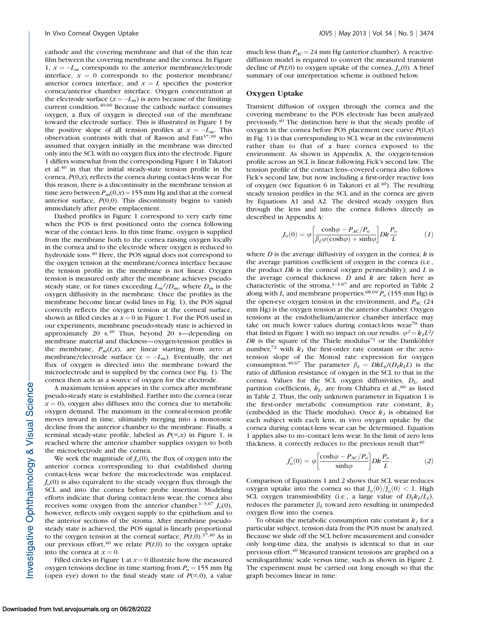cathode and the covering membrane and that of the thin tear film between the covering membrane and the cornea. In Figure 1,  $x = -L_m$  corresponds to the anterior membrane/electrode interface,  $x = 0$  corresponds to the posterior membrane/ anterior cornea interface, and  $x = L$  specifies the posterior cornea/anterior chamber interface. Oxygen concentration at the electrode surface  $(x = -L_m)$  is zero because of the limitingcurrent condition.<sup>40,66</sup> Because the cathode surface consumes oxygen, a flux of oxygen is directed out of the membrane toward the electrode surface. This is illustrated in Figure 1 by the positive slope of all tension profiles at  $x = -L_m$ . This observation contrasts with that of Rasson and Fatt<sup>37,39</sup> who assumed that oxygen initially in the membrane was directed only into the SCL with no oxygen flux into the electrode. Figure 1 differs somewhat from the corresponding Figure 1 in Takatori et al. $40$  in that the initial steady-state tension profile in the cornea,  $P(0,x)$ , reflects the cornea during contact-lens wear. For this reason, there is a discontinuity in the membrane tension at time zero between  $P_m(0,x) = 155$  mm Hg and that at the corneal anterior surface,  $P(0,0)$ . This discontinuity begins to vanish immediately after probe emplacement.

Dashed profiles in Figure 1 correspond to very early time when the POS is first positioned onto the cornea following wear of the contact lens. In this time frame, oxygen is supplied from the membrane both to the cornea raising oxygen locally in the cornea and to the electrode where oxygen is reduced to hydroxide ions.<sup>40</sup> Here, the POS signal does not correspond to the oxygen tension at the membrane/cornea interface because the tension profile in the membrane is not linear. Oxygen tension is measured only after the membrane achieves pseudosteady state, or for times exceeding  $L_m^2/D_m$ , where  $D_m$  is the oxygen diffusivity in the membrane. Once the profiles in the membrane become linear (solid lines in Fig. 1), the POS signal correctly reflects the oxygen tension at the corneal surface, shown as filled circles at  $x = 0$  in Figure 1. For the POS used in our experiments, membrane pseudo-steady state is achieved in approximately 20  $s$ .<sup>40</sup> Thus, beyond 20 s-depending on membrane material and thickness—oxygen-tension profiles in the membrane,  $P_m(t,x)$ , are linear starting from zero at membrane/electrode surface  $(x = -L_m)$ . Eventually, the net flux of oxygen is directed into the membrane toward the microelectrode and is supplied by the cornea (see Fig. 1). The cornea then acts as a source of oxygen for the electrode.

A maximum tension appears in the cornea after membrane pseudo-steady state is established. Farther into the cornea (near  $x = 0$ ), oxygen also diffuses into the cornea due to metabolic oxygen demand. The maximum in the corneal-tension profile moves inward in time, ultimately merging into a monotonic decline from the anterior chamber to the membrane. Finally, a terminal steady-state profile, labeled as  $P(\infty, x)$  in Figure 1, is reached where the anterior chamber supplies oxygen to both the microelectrode and the cornea.

We seek the magnitude of  $J<sub>o</sub>(0)$ , the flux of oxygen into the anterior cornea corresponding to that established during contact-lens wear before the microelectrode was emplaced.  $J<sub>o</sub>(0)$  is also equivalent to the steady oxygen flux through the SCL and into the cornea before probe insertion. Modeling efforts indicate that during contact-lens wear, the cornea also receives some oxygen from the anterior chamber.<sup>1-3,67</sup>  $J<sub>o</sub>(0)$ , however, reflects only oxygen supply to the epithelium and to the anterior sections of the stroma. After membrane pseudosteady state is achieved, the POS signal is linearly proportional to the oxygen tension at the corneal surface,  $P(t,0)$ .<sup>37,40</sup> As in our previous effort,<sup>40</sup> we relate  $P(t,0)$  to the oxygen uptake into the cornea at  $x = 0$ .

Filled circles in Figure 1 at  $x=0$  illustrate how the measured oxygen tensions decline in time starting from  $P_0 = 155$  mm Hg (open eye) down to the final steady state of  $P(\infty,0)$ , a value much less than  $P_{AC}$  = 24 mm Hg (anterior chamber). A reactivediffusion model is required to convert the measured transient decline of  $P(t,0)$  to oxygen uptake of the cornea,  $J<sub>o</sub>(0)$ . A brief summary of our interpretation scheme is outlined below.

#### Oxygen Uptake

Transient diffusion of oxygen through the cornea and the covering membrane to the POS electrode has been analyzed previously.40 The distinction here is that the steady profile of oxygen in the cornea before POS placement (see curve  $P(0,x)$ ) in Fig. 1) is that corresponding to SCL wear in the environment rather than to that of a bare cornea exposed to the environment. As shown in Appendix A, the oxygen-tension profile across an SCL is linear following Fick's second law. The tension profile of the contact lens–covered cornea also follows Fick's second law, but now including a first-order reactive loss of oxygen (see Equation 6 in Takatori et al. $40$ ). The resulting steady tension profiles in the SCL and in the cornea are given by Equations A1 and A2. The desired steady oxygen flux through the lens and into the cornea follows directly as described in Appendix A:

$$
J_o(0) = \varphi \left[ \frac{\cosh \varphi - P_{AC}/P_o}{\beta_L \varphi(\cosh \varphi) + \sinh \varphi} \right] D k \frac{P_o}{L} \eqno{(1)}
$$

where  $D$  is the average diffusivity of oxygen in the cornea;  $k$  is the average partition coefficient of oxygen in the cornea (i.e., the product  $Dk$  is the corneal oxygen permeability); and  $L$  is the average corneal thickness.  $D$  and  $k$  are taken here as characteristic of the stroma, $1-3,67$  and are reported in Table 2 along with L, and membrane properties.<sup>68,69</sup>  $\bar{P}_o$  (155 mm Hg) is the open-eye oxygen tension in the environment, and  $P_{AC}$  (24) mm Hg) is the oxygen tension at the anterior chamber. Oxygen tensions at the endothelium/anterior chamber interface may take on much lower values during contact-lens wear<sup>70</sup> than that listed in Figure 1 with no impact on our results.  $\varphi^2 = k_1 L^2$ / Dk is the square of the Thiele modulus<sup>71</sup> or the Damköhler number,<sup>72</sup> with  $k_1$  the first-order rate constant or the zerotension slope of the Monod rate expression for oxygen consumption.<sup>40,67</sup> The parameter  $\beta_L = DkL_l/(D_lk_lL)$  is the ratio of diffusion resistance of oxygen in the SCL to that in the cornea. Values for the SCL oxygen diffusivities,  $D_L$ , and partition coefficients,  $k_L$ , are from Chhabra et al.,<sup>66</sup> as listed in Table 2. Thus, the only unknown parameter in Equation 1 is the first-order metabolic consumption rate constant,  $k_1$ (embedded in the Thiele modulus). Once  $k_1$  is obtained for each subject with each lens, in vivo oxygen uptake by the cornea during contact-lens wear can be determined. Equation 1 applies also to no–contact lens wear. In the limit of zero lens thickness, it correctly reduces to the previous result that  $40$ 

$$
J_o^*(0) = \varphi \left[ \frac{\cosh \varphi - P_{AC}/P_o}{\sinh \varphi} \right] Dk \frac{P_o}{L}.
$$
 (2)

Comparison of Equations 1 and 2 shows that SCL wear reduces oxygen uptake into the cornea so that  $J_o(0)/J_o(0) < 1$ . High SCL oxygen transmissibility (i.e., a large value of  $D_l k_l / L_l$ ), reduces the parameter  $\beta_L$  toward zero resulting in unimpeded oxygen flow into the cornea.

To obtain the metabolic consumption rate constant  $k_1$  for a particular subject, tension data from the POS must be analyzed. Because we slide off the SCL before measurement and consider only long-time data, the analysis is identical to that in our previous effort.40 Measured transient tensions are graphed on a semilogarithmic scale versus time, such as shown in Figure 2. The experiment must be carried out long enough so that the graph becomes linear in time: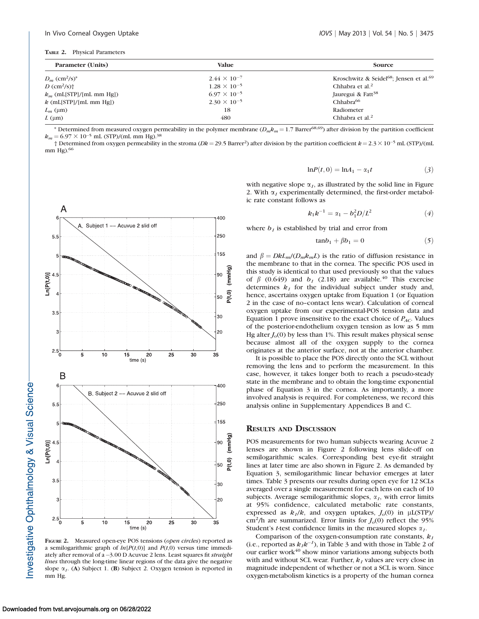| TABLE 2. |  |  | <b>Physical Parameters</b> |
|----------|--|--|----------------------------|
|----------|--|--|----------------------------|

| Parameter (Units)                       | Value                 | <b>Source</b>                                                   |  |  |
|-----------------------------------------|-----------------------|-----------------------------------------------------------------|--|--|
| $D_m$ (cm <sup>2</sup> /s) <sup>*</sup> | $2.44 \times 10^{-7}$ | Kroschwitz & Seidel <sup>68</sup> ; Jensen et al. <sup>69</sup> |  |  |
| $D \text{ (cm}^2\text{/s)}$             | $1.28 \times 10^{-5}$ | Chhabra et al. <sup>2</sup>                                     |  |  |
| $k_m$ (mL[STP]/[mL mm Hg])              | $6.97 \times 10^{-5}$ | Jauregui & Fatt <sup>38</sup>                                   |  |  |
| $k$ (mL[STP]/[mL mm Hg])                | $2.30 \times 10^{-5}$ | Chhabra <sup>66</sup>                                           |  |  |
| $L_m$ (µm)                              | 18                    | Radiometer                                                      |  |  |
| $L \text{ (µm)}$                        | 480                   | Chhabra et al. <sup>2</sup>                                     |  |  |

\* Determined from measured oxygen permeability in the polymer membrane ( $D_m k_m = 1.7$  Barrer<sup>68,69</sup>) after division by the partition coefficient  $k_m = 6.97 \times 10^{-5}$  mL (STP)/(mL mm Hg).<sup>38</sup>

† Determined from oxygen permeability in the stroma (*Dk* = 29.5 Barrer<sup>2</sup>) after division by the partition coefficient k = 2.3  $\times$  10<sup>-5</sup> mL (STP)/(mL mm  $He$ ).  $66$ 



FIGURE 2. Measured open-eye POS tensions (open circles) reported as a semilogarithmic graph of  $ln[P(t,0)]$  and  $P(t,0)$  versus time immediately after removal of a –3.00 D Acuvue 2 lens. Least squares fit straight lines through the long-time linear regions of the data give the negative slope  $\alpha_I$ . (A) Subject 1. (B) Subject 2. Oxygen tension is reported in mm Hg.

$$
\ln P(t,0) = \ln A_1 - \alpha_1 t \tag{3}
$$

with negative slope  $\alpha_I$ , as illustrated by the solid line in Figure 2. With  $\alpha_1$  experimentally determined, the first-order metabolic rate constant follows as

$$
k_1 k^{-1} = \alpha_1 - b_1^2 D / L^2 \tag{4}
$$

where  $b_1$  is established by trial and error from

$$
tan b_1 + \beta b_1 = 0 \tag{5}
$$

and  $\beta = DkL_m/(D_m k_m L)$  is the ratio of diffusion resistance in the membrane to that in the cornea. The specific POS used in this study is identical to that used previously so that the values of  $\beta$  (0.649) and  $b_1$  (2.18) are available.<sup>40</sup> This exercise determines  $k_1$  for the individual subject under study and, hence, ascertains oxygen uptake from Equation 1 (or Equation 2 in the case of no–contact lens wear). Calculation of corneal oxygen uptake from our experimental-POS tension data and Equation 1 prove insensitive to the exact choice of  $P_{AC}$ . Values of the posterior-endothelium oxygen tension as low as 5 mm Hg alter  $J<sub>o</sub>(0)$  by less than 1%. This result makes physical sense because almost all of the oxygen supply to the cornea originates at the anterior surface, not at the anterior chamber.

It is possible to place the POS directly onto the SCL without removing the lens and to perform the measurement. In this case, however, it takes longer both to reach a pseudo-steady state in the membrane and to obtain the long-time exponential phase of Equation 3 in the cornea. As importantly, a more involved analysis is required. For completeness, we record this analysis online in [Supplementary Appendices B and C.](http://www.iovs.org/content/54/5/3472/suppl/DC1)

#### RESULTS AND DISCUSSION

POS measurements for two human subjects wearing Acuvue 2 lenses are shown in Figure 2 following lens slide-off on semilogarithmic scales. Corresponding best eye-fit straight lines at later time are also shown in Figure 2. As demanded by Equation 3, semilogarithmic linear behavior emerges at later times. Table 3 presents our results during open eye for 12 SCLs averaged over a single measurement for each lens on each of 10 subjects. Average semilogarithmic slopes,  $\alpha_1$ , with error limits at 95% confidence, calculated metabolic rate constants, expressed as  $k_1/k$ , and oxygen uptakes,  $J<sub>o</sub>(0)$  in  $\mu$ L(STP)/ cm<sup>2</sup>/h are summarized. Error limits for  $J<sub>o</sub>(0)$  reflect the 95% Student's *t*-test confidence limits in the measured slopes  $\alpha_1$ .

Comparison of the oxygen-consumption rate constants,  $k_1$ (i.e., reported as  $k_1k^{-1}$ ), in Table 3 and with those in Table 2 of our earlier work $40$  show minor variations among subjects both with and without SCL wear. Further,  $k_1$  values are very close in magnitude independent of whether or not a SCL is worn. Since oxygen-metabolism kinetics is a property of the human cornea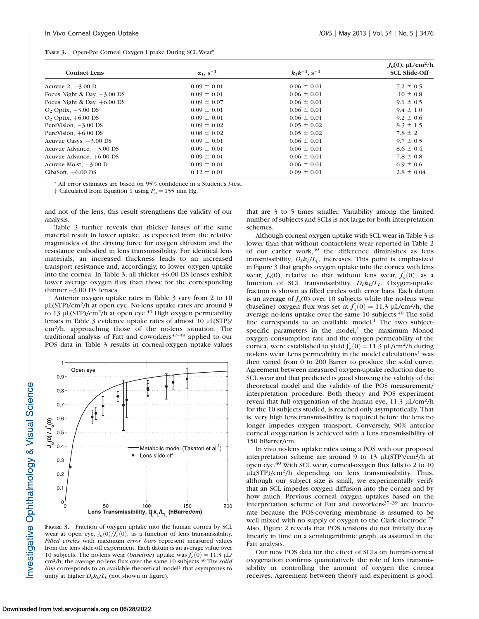|  | TABLE 3. Open-Eye Corneal Oxygen Uptake During SCL Wear* |  |  |  |  |  |  |
|--|----------------------------------------------------------|--|--|--|--|--|--|
|--|----------------------------------------------------------|--|--|--|--|--|--|

|                               |                       |                               | $J_0(0)$ , µL/cm <sup>2</sup> /h |
|-------------------------------|-----------------------|-------------------------------|----------------------------------|
| <b>Contact Lens</b>           | $\alpha_1$ , $s^{-1}$ | $k_1k^{-1}$ , s <sup>-1</sup> | <b>SCL Slide-Off+</b>            |
| Acuvue $2, -3.00$ D           | $0.09 \pm 0.01$       | $0.06 \pm 0.01$               | $7.2 \pm 0.5$                    |
| Focus Night & Day, $-3.00$ DS | $0.09 \pm 0.01$       | $0.06 \pm 0.01$               | $10 \pm 0.8$                     |
| Focus Night & Day, $+6.00$ DS | $0.09 \pm 0.07$       | $0.06 \pm 0.01$               | $9.1 \pm 0.5$                    |
| $O2$ Optix, $-3.00$ DS        | $0.09 \pm 0.01$       | $0.06 \pm 0.01$               | $9.4 \pm 1.0$                    |
| $O2$ Optix, $+6.00$ DS        | $0.09 \pm 0.01$       | $0.06 \pm 0.01$               | $9.2 \pm 0.6$                    |
| PureVision, $-3.00$ DS        | $0.09 \pm 0.02$       | $0.05 \pm 0.02$               | $8.3 \pm 1.5$                    |
| PureVision, $+6.00$ DS        | $0.08 \pm 0.02$       | $0.05 \pm 0.02$               | $7.8 \pm 2$                      |
| Acuvue Oasys, $-3.00$ DS      | $0.09 \pm 0.01$       | $0.06 \pm 0.01$               | $9.7 \pm 0.5$                    |
| Acuvue Advance, $-3.00$ DS    | $0.09 \pm 0.01$       | $0.06 \pm 0.01$               | $8.6 \pm 0.4$                    |
| Acuvue Advance, $+6.00$ DS    | $0.09 \pm 0.01$       | $0.06 \pm 0.01$               | $7.8 \pm 0.8$                    |
| Acuvue Moist, $-3.00$ D       | $0.09 \pm 0.01$       | $0.06 \pm 0.01$               | $6.9 \pm 0.6$                    |
| CibaSoft, $+6.00$ DS          | $0.12 \pm 0.01$       | $0.09 \pm 0.01$               | $2.8 \pm 0.04$                   |

\* All error estimates are based on 95% confidence in a Student's t-test.

† Calculated from Equation 1 using  $P_0 = 155$  mm Hg.

and not of the lens, this result strengthens the validity of our analysis.

Table 3 further reveals that thicker lenses of the same material result in lower uptake, as expected from the relative magnitudes of the driving force for oxygen diffusion and the resistance embodied in lens transmissibility. For identical lens materials, an increased thickness leads to an increased transport resistance and, accordingly, to lower oxygen uptake into the cornea. In Table 3, all thicker  $+6.00$  DS lenses exhibit lower average oxygen flux than those for the corresponding thinner -3.00 DS lenses.

Anterior oxygen uptake rates in Table 3 vary from 2 to 10 lL(STP)/cm2/h at open eye. No-lens uptake rates are around 9 to 13  $\mu$ L(STP)/cm<sup>2</sup>/h at open eye.<sup>40</sup> High oxygen permeability lenses in Table 3 evidence uptake rates of almost  $10 \mu$ L(STP)/ cm2/h, approaching those of the no-lens situation. The traditional analysis of Fatt and coworkers<sup>37-39</sup> applied to our POS data in Table 3 results in corneal-oxygen uptake values



FIGURE 3. Fraction of oxygen uptake into the human cornea by SCL wear at open eye,  $J_o(0)/J_o^{*}(0)$ , as a function of lens transmissibility. Filled circles with maximum error bars represent measured values from the lens slide-off experiment. Each datum is an average value over 10 subjects. The no-lens wear (*baseline*) uptake was  $J_0^*(0) = 11.3 \mu L$ / cm<sup>2</sup>/h, the average no-lens flux over the same 10 subjects.<sup>40</sup> The solid line corresponds to an available theoretical model<sup>1</sup> that asymptotes to unity at higher  $D_l k_l / L_l$  (not shown in figure).

that are 3 to 5 times smaller. Variability among the limited number of subjects and SCLs is not large for both interpretation schemes.

Although corneal oxygen uptake with SCL wear in Table 3 is lower than that without contact-lens wear reported in Table 2 of our earlier work,<sup>40</sup> the difference diminishes as lens transmissibility,  $D_l k_l / L_l$ , increases. This point is emphasized in Figure 3 that graphs oxygen uptake into the cornea with lens wear,  $J<sub>o</sub>(0)$ , relative to that without lens wear,  $J<sub>o</sub><sup>*</sup>(0)$ , as a function of SCL transmissibility,  $D_L k_L/L_L$ . Oxygen-uptake fraction is shown as filled circles with error bars. Each datum is an average of  $J<sub>o</sub>(0)$  over 10 subjects while the no-lens wear (baseline) oxygen flux was set at  $J_0^*(0) = 11.3 \mu L/cm^2/h$ , the average no-lens uptake over the same 10 subjects.<sup>40</sup> The solid line corresponds to an available model.<sup>1</sup> The two subjectspecific parameters in the model, $1$  the maximum Monod oxygen consumption rate and the oxygen permeability of the cornea, were established to yield  $J_0^*(0) = 11.3 \mu L/cm^2/h$  during no-lens wear. Lens permeability in the model calculations<sup>1</sup> was then varied from 0 to 200 Barrer to produce the solid curve. Agreement between measured oxygen-uptake reduction due to SCL wear and that predicted is good showing the validity of the theoretical model and the validity of the POS measurement/ interpretation procedure. Both theory and POS experiment reveal that full oxygenation of the human eye,  $11.3 \mu L/cm^2/h$ for the 10 subjects studied, is reached only asymptotically. That is, very high lens transmissibility is required before the lens no longer impedes oxygen transport. Conversely, 90% anterior corneal oxygenation is achieved with a lens transmissibility of 150 hBarrer/cm.

In vivo no-lens uptake rates using a POS with our proposed interpretation scheme are around 9 to 13  $\mu$ L(STP)/cm<sup>2</sup>/h at open eye.<sup>40</sup> With SCL wear, corneal-oxygen flux falls to 2 to 10  $\mu$ L(STP)/cm<sup>2</sup>/h depending on lens transmissibility. Thus, although our subject size is small, we experimentally verify that an SCL impedes oxygen diffusion into the cornea and by how much. Previous corneal oxygen uptakes based on the interpretation scheme of Fatt and coworkers<sup>37-39</sup> are inaccurate because the POS-covering membrane is assumed to be well mixed with no supply of oxygen to the Clark electrode.<sup>73</sup> Also, Figure 2 reveals that POS tensions do not initially decay linearly in time on a semilogarithmic graph, as assumed in the Fatt analysis.

Our new POS data for the effect of SCLs on human-corneal oxygenation confirms quantitatively the role of lens transmissibility in controlling the amount of oxygen the cornea receives. Agreement between theory and experiment is good.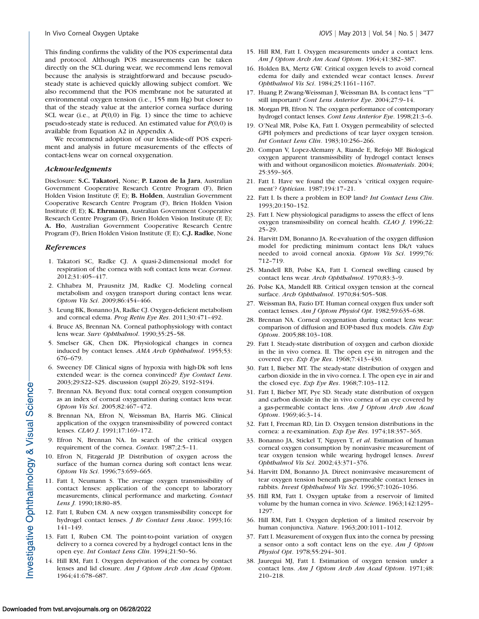This finding confirms the validity of the POS experimental data and protocol. Although POS measurements can be taken directly on the SCL during wear, we recommend lens removal because the analysis is straightforward and because pseudosteady state is achieved quickly allowing subject comfort. We also recommend that the POS membrane not be saturated at environmental oxygen tension (i.e., 155 mm Hg) but closer to that of the steady value at the anterior cornea surface during SCL wear (i.e., at  $P(0,0)$  in Fig. 1) since the time to achieve pseudo-steady state is reduced. An estimated value for  $P(0,0)$  is available from Equation A2 in Appendix A.

We recommend adoption of our lens-slide-off POS experiment and analysis in future measurements of the effects of contact-lens wear on corneal oxygenation.

#### Acknowledgments

Disclosure: S.C. Takatori, None; P. Lazon de la Jara, Australian Government Cooperative Research Centre Program (F), Brien Holden Vision Institute (F, E); B. Holden, Australian Government Cooperative Research Centre Program (F), Brien Holden Vision Institute (F, E); K. Ehrmann, Australian Government Cooperative Research Centre Program (F), Brien Holden Vision Institute (F, E); A. Ho, Australian Government Cooperative Research Centre Program (F), Brien Holden Vision Institute (F, E); C.J. Radke, None

#### References

- 1. Takatori SC, Radke CJ. A quasi-2-dimensional model for respiration of the cornea with soft contact lens wear. Cornea. 2012;31:405–417.
- 2. Chhabra M, Prausnitz JM, Radke CJ. Modeling corneal metabolism and oxygen transport during contact lens wear. Optom Vis Sci. 2009;86:454–466.
- 3. Leung BK, Bonanno JA, Radke CJ. Oxygen-deficient metabolism and corneal edema. Prog Retin Eye Res. 2011;30:471-492.
- 4. Bruce AS, Brennan NA. Corneal pathophysiology with contact lens wear. Surv Ophthalmol. 1990;35:25–58.
- 5. Smelser GK, Chen DK. Physiological changes in cornea induced by contact lenses. AMA Arch Ophthalmol. 1955;53: 676–679.
- 6. Sweeney DF. Clinical signs of hypoxia with high-Dk soft lens extended wear: is the cornea convinced? Eye Contact Lens. 2003;29:S22–S25. discussion (suppl 26)-29, S192–S194.
- 7. Brennan NA. Beyond flux: total corneal oxygen consumption as an index of corneal oxygenation during contact lens wear. Optom Vis Sci. 2005;82:467–472.
- 8. Brennan NA, Efron N, Weissman BA, Harris MG. Clinical application of the oxygen transmissibility of powered contact lenses. CLAO J. 1991;17:169–172.
- 9. Efron N, Brennan NA. In search of the critical oxygen requirement of the cornea. Contax. 1987;2:5–11.
- 10. Efron N, Fitzgerald JP. Distribution of oxygen across the surface of the human cornea during soft contact lens wear. Optom Vis Sci. 1996;73:659–665.
- 11. Fatt I, Neumann S. The average oxygen transmissibility of contact lenses: application of the concept to laboratory measurements, clinical performance and marketing. Contact Lens J. 1990;18:80–85.
- 12. Fatt I, Ruben CM. A new oxygen transmissibility concept for hydrogel contact lenses. J Br Contact Lens Assoc. 1993;16: 141–149.
- 13. Fatt I, Ruben CM. The point-to-point variation of oxygen delivery to a cornea covered by a hydrogel contact lens in the open eye. Int Contact Lens Clin. 1994;21:50–56.
- 14. Hill RM, Fatt I. Oxygen deprivation of the cornea by contact lenses and lid closure. Am J Optom Arch Am Acad Optom. 1964;41:678–687.
- 15. Hill RM, Fatt I. Oxygen measurements under a contact lens. Am J Optom Arch Am Acad Optom. 1964;41:382–387.
- 16. Holden BA, Mertz GW. Critical oxygen levels to avoid corneal edema for daily and extended wear contact lenses. Invest Ophthalmol Vis Sci. 1984;25:1161–1167.
- 17. Huang P, Zwang-Weissman J, Weissman BA. Is contact lens ''T'' still important? Cont Lens Anterior Eye. 2004;27:9–14.
- 18. Morgan PB, Efron N. The oxygen performance of contemporary hydrogel contact lenses. Cont Lens Anterior Eye. 1998;21:3–6.
- 19. O'Neal MR, Polse KA, Fatt I. Oxygen permeability of selected GPH polymers and predictions of tear layer oxygen tension. Int Contact Lens Clin. 1983;10:256–266.
- 20. Compan V, Lopez-Alemany A, Riande E, Refojo MF. Biological oxygen apparent transmissibility of hydrogel contact lenses with and without organosilicon moieties. Biomaterials. 2004; 25:359–365.
- 21. Fatt I. Have we found the cornea's 'critical oxygen requirement'? Optician. 1987;194:17–21.
- 22. Fatt I. Is there a problem in EOP land? Int Contact Lens Clin. 1993;20:150–152.
- 23. Fatt I. New physiological paradigms to assess the effect of lens oxygen transmissibility on corneal health. CLAO J. 1996;22: 25–29.
- 24. Harvitt DM, Bonanno JA. Re-evaluation of the oxygen diffusion model for predicting minimum contact lens Dk/t values needed to avoid corneal anoxia. Optom Vis Sci. 1999;76: 712–719.
- 25. Mandell RB, Polse KA, Fatt I. Corneal swelling caused by contact lens wear. Arch Ophthalmol. 1970;83:3–9.
- 26. Polse KA, Mandell RB. Critical oxygen tension at the corneal surface. Arch Ophthalmol. 1970;84:505–508.
- 27. Weissman BA, Fazio DT. Human corneal oxygen flux under soft contact lenses. Am J Optom Physiol Opt. 1982;59:635–638.
- 28. Brennan NA. Corneal oxygenation during contact lens wear: comparison of diffusion and EOP-based flux models. Clin Exp Optom. 2005;88:103–108.
- 29. Fatt I. Steady-state distribution of oxygen and carbon dioxide in the in vivo cornea. II. The open eye in nitrogen and the covered eye. Exp Eye Res. 1968;7:413–430.
- 30. Fatt I, Bieber MT. The steady-state distribution of oxygen and carbon dioxide in the in vivo cornea. I. The open eye in air and the closed eye. Exp Eye Res.  $1968;7:103-112$ .
- 31. Fatt I, Bieber MT, Pye SD. Steady state distribution of oxygen and carbon dioxide in the in vivo cornea of an eye covered by a gas-permeable contact lens. Am J Optom Arch Am Acad Optom. 1969;46:3–14.
- 32. Fatt I, Freeman RD, Lin D. Oxygen tension distributions in the cornea: a re-examination. Exp Eye Res. 1974;18:357–365.
- 33. Bonanno JA, Stickel T, Nguyen T, et al. Estimation of human corneal oxygen consumption by noninvasive measurement of tear oxygen tension while wearing hydrogel lenses. Invest Ophthalmol Vis Sci. 2002;43:371–376.
- 34. Harvitt DM, Bonanno JA. Direct noninvasive measurement of tear oxygen tension beneath gas-permeable contact lenses in rabbits. Invest Ophthalmol Vis Sci. 1996;37:1026–1036.
- 35. Hill RM, Fatt I. Oxygen uptake from a reservoir of limited volume by the human cornea in vivo. Science. 1963;142:1295– 1297.
- 36. Hill RM, Fatt I. Oxygen depletion of a limited reservoir by human conjunctiva. Nature. 1963;200:1011–1012.
- 37. Fatt I. Measurement of oxygen flux into the cornea by pressing a sensor onto a soft contact lens on the eye. Am J Optom Physiol Opt. 1978;55:294–301.
- 38. Jauregui MJ, Fatt I. Estimation of oxygen tension under a contact lens. Am J Optom Arch Am Acad Optom. 1971;48: 210–218.